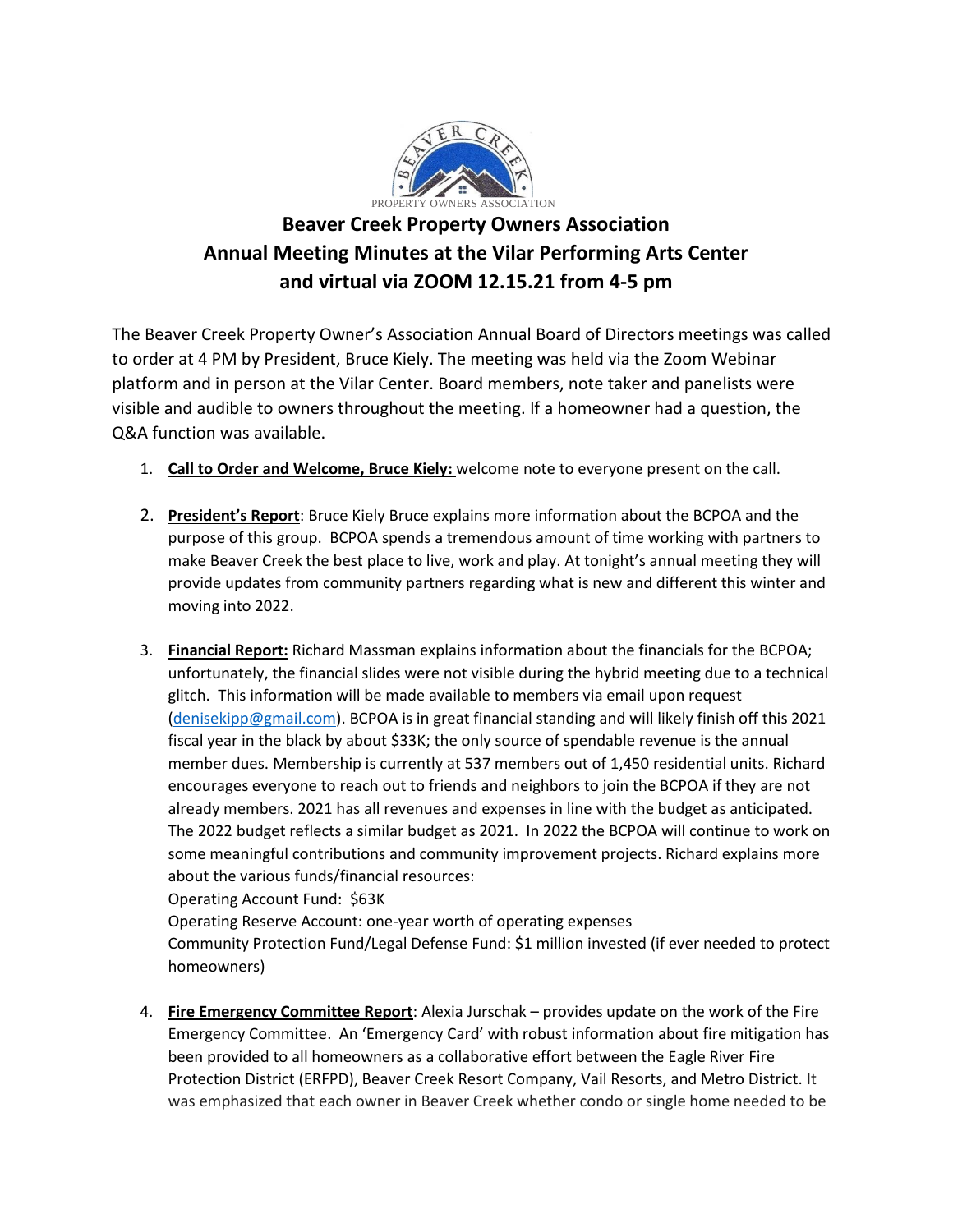

## **Beaver Creek Property Owners Association Annual Meeting Minutes at the Vilar Performing Arts Center and virtual via ZOOM 12.15.21 from 4-5 pm**

The Beaver Creek Property Owner's Association Annual Board of Directors meetings was called to order at 4 PM by President, Bruce Kiely. The meeting was held via the Zoom Webinar platform and in person at the Vilar Center. Board members, note taker and panelists were visible and audible to owners throughout the meeting. If a homeowner had a question, the Q&A function was available.

- 1. **Call to Order and Welcome, Bruce Kiely:** welcome note to everyone present on the call.
- 2. **President's Report**: Bruce Kiely Bruce explains more information about the BCPOA and the purpose of this group. BCPOA spends a tremendous amount of time working with partners to make Beaver Creek the best place to live, work and play. At tonight's annual meeting they will provide updates from community partners regarding what is new and different this winter and moving into 2022.
- 3. **Financial Report:** Richard Massman explains information about the financials for the BCPOA; unfortunately, the financial slides were not visible during the hybrid meeting due to a technical glitch. This information will be made available to members via email upon request [\(denisekipp@gmail.com\)](mailto:denisekipp@gmail.com). BCPOA is in great financial standing and will likely finish off this 2021 fiscal year in the black by about \$33K; the only source of spendable revenue is the annual member dues. Membership is currently at 537 members out of 1,450 residential units. Richard encourages everyone to reach out to friends and neighbors to join the BCPOA if they are not already members. 2021 has all revenues and expenses in line with the budget as anticipated. The 2022 budget reflects a similar budget as 2021. In 2022 the BCPOA will continue to work on some meaningful contributions and community improvement projects. Richard explains more about the various funds/financial resources: Operating Account Fund: \$63K

Operating Reserve Account: one-year worth of operating expenses

Community Protection Fund/Legal Defense Fund: \$1 million invested (if ever needed to protect homeowners)

4. **Fire Emergency Committee Report**: Alexia Jurschak – provides update on the work of the Fire Emergency Committee. An 'Emergency Card' with robust information about fire mitigation has been provided to all homeowners as a collaborative effort between the Eagle River Fire Protection District (ERFPD), Beaver Creek Resort Company, Vail Resorts, and Metro District. It was emphasized that each owner in Beaver Creek whether condo or single home needed to be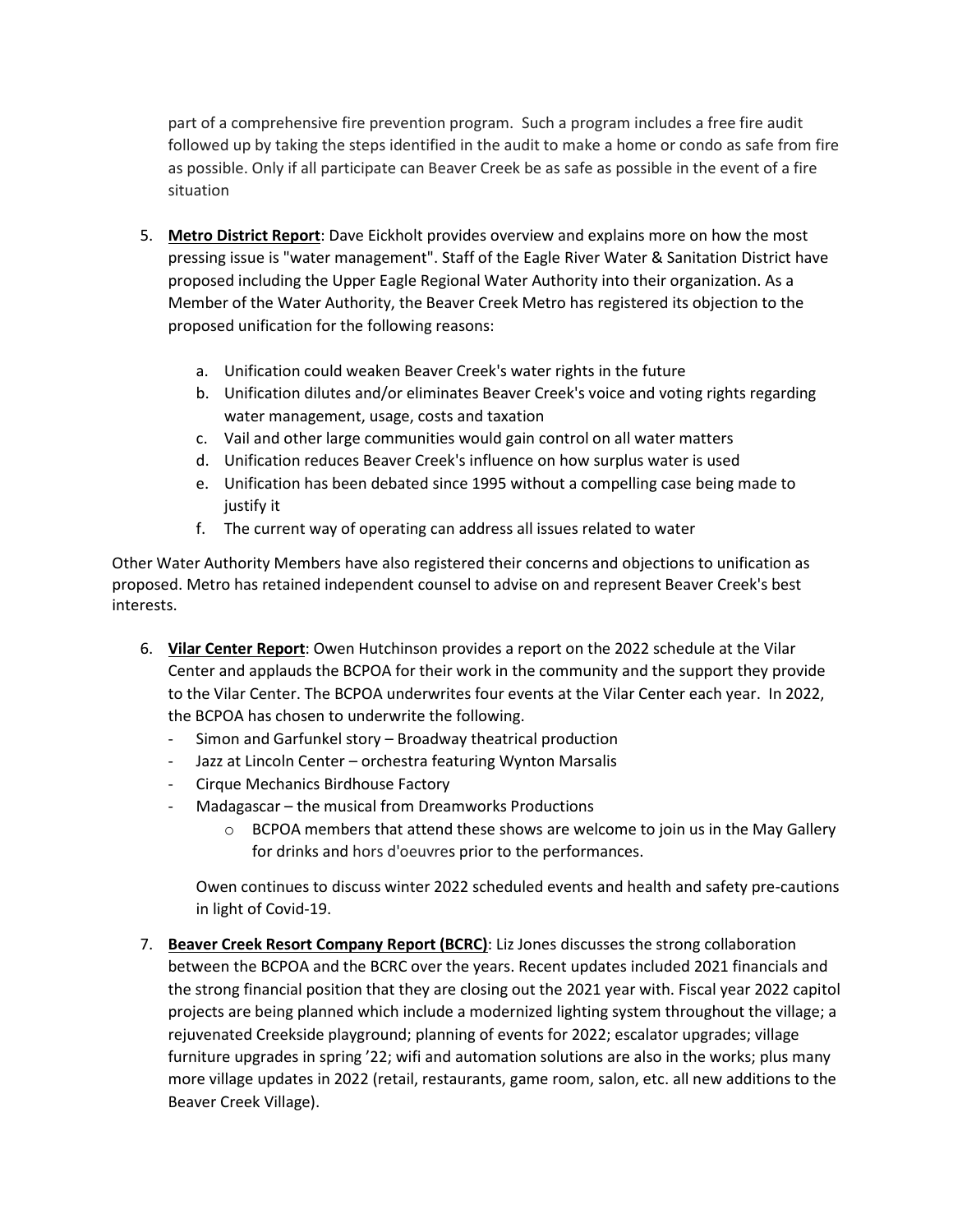part of a comprehensive fire prevention program. Such a program includes a free fire audit followed up by taking the steps identified in the audit to make a home or condo as safe from fire as possible. Only if all participate can Beaver Creek be as safe as possible in the event of a fire situation

- 5. **Metro District Report**: Dave Eickholt provides overview and explains more on how the most pressing issue is "water management". Staff of the Eagle River Water & Sanitation District have proposed including the Upper Eagle Regional Water Authority into their organization. As a Member of the Water Authority, the Beaver Creek Metro has registered its objection to the proposed unification for the following reasons:
	- a. Unification could weaken Beaver Creek's water rights in the future
	- b. Unification dilutes and/or eliminates Beaver Creek's voice and voting rights regarding water management, usage, costs and taxation
	- c. Vail and other large communities would gain control on all water matters
	- d. Unification reduces Beaver Creek's influence on how surplus water is used
	- e. Unification has been debated since 1995 without a compelling case being made to justify it
	- f. The current way of operating can address all issues related to water

Other Water Authority Members have also registered their concerns and objections to unification as proposed. Metro has retained independent counsel to advise on and represent Beaver Creek's best interests.

- 6. **Vilar Center Report**: Owen Hutchinson provides a report on the 2022 schedule at the Vilar Center and applauds the BCPOA for their work in the community and the support they provide to the Vilar Center. The BCPOA underwrites four events at the Vilar Center each year. In 2022, the BCPOA has chosen to underwrite the following.
	- Simon and Garfunkel story Broadway theatrical production
	- Jazz at Lincoln Center orchestra featuring Wynton Marsalis
	- Cirque Mechanics Birdhouse Factory
	- Madagascar the musical from Dreamworks Productions
		- $\circ$  BCPOA members that attend these shows are welcome to join us in the May Gallery for drinks and hors d'oeuvres prior to the performances.

Owen continues to discuss winter 2022 scheduled events and health and safety pre-cautions in light of Covid-19.

7. **Beaver Creek Resort Company Report (BCRC)**: Liz Jones discusses the strong collaboration between the BCPOA and the BCRC over the years. Recent updates included 2021 financials and the strong financial position that they are closing out the 2021 year with. Fiscal year 2022 capitol projects are being planned which include a modernized lighting system throughout the village; a rejuvenated Creekside playground; planning of events for 2022; escalator upgrades; village furniture upgrades in spring '22; wifi and automation solutions are also in the works; plus many more village updates in 2022 (retail, restaurants, game room, salon, etc. all new additions to the Beaver Creek Village).